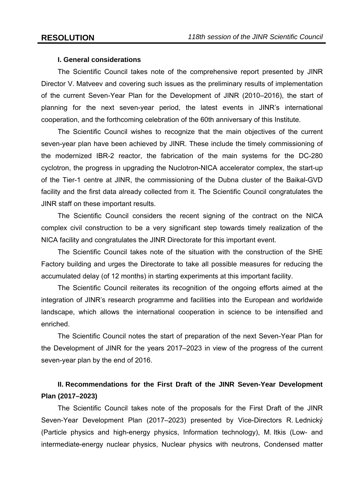### **I. General considerations**

The Scientific Council takes note of the comprehensive report presented by JINR Director V. Matveev and covering such issues as the preliminary results of implementation of the current Seven-Year Plan for the Development of JINR (2010–2016), the start of planning for the next seven-year period, the latest events in JINR's international cooperation, and the forthcoming celebration of the 60th anniversary of this Institute.

The Scientific Council wishes to recognize that the main objectives of the current seven-year plan have been achieved by JINR. These include the timely commissioning of the modernized IBR-2 reactor, the fabrication of the main systems for the DC-280 cyclotron, the progress in upgrading the Nuclotron-NICA accelerator complex, the start-up of the Tier-1 centre at JINR, the commissioning of the Dubna cluster of the Baikal-GVD facility and the first data already collected from it. The Scientific Council congratulates the JINR staff on these important results.

The Scientific Council considers the recent signing of the contract on the NICA complex civil construction to be a very significant step towards timely realization of the NICA facility and congratulates the JINR Directorate for this important event.

The Scientific Council takes note of the situation with the construction of the SHE Factory building and urges the Directorate to take all possible measures for reducing the accumulated delay (of 12 months) in starting experiments at this important facility.

The Scientific Council reiterates its recognition of the ongoing efforts aimed at the integration of JINR's research programme and facilities into the European and worldwide landscape, which allows the international cooperation in science to be intensified and enriched.

The Scientific Council notes the start of preparation of the next Seven-Year Plan for the Development of JINR for the years 2017–2023 in view of the progress of the current seven-year plan by the end of 2016.

# **II. Recommendations for the First Draft of the JINR Seven-Year Development Plan (2017–2023)**

The Scientific Council takes note of the proposals for the First Draft of the JINR Seven-Year Development Plan (2017–2023) presented by Vice-Directors R. Lednický (Particle physics and high-energy physics, Information technology), M. Itkis (Low- and intermediate-energy nuclear physics, Nuclear physics with neutrons, Condensed matter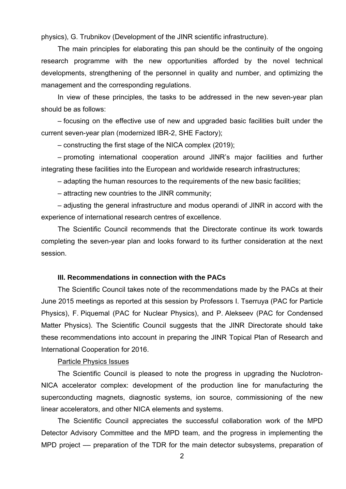physics), G. Trubnikov (Development of the JINR scientific infrastructure).

The main principles for elaborating this pan should be the continuity of the ongoing research programme with the new opportunities afforded by the novel technical developments, strengthening of the personnel in quality and number, and optimizing the management and the corresponding regulations.

In view of these principles, the tasks to be addressed in the new seven-year plan should be as follows:

– focusing on the effective use of new and upgraded basic facilities built under the current seven-year plan (modernized IBR-2, SHE Factory);

– constructing the first stage of the NICA complex (2019);

– promoting international cooperation around JINR's major facilities and further integrating these facilities into the European and worldwide research infrastructures;

– adapting the human resources to the requirements of the new basic facilities;

– attracting new countries to the JINR community;

– adjusting the general infrastructure and modus operandi of JINR in accord with the experience of international research centres of excellence.

The Scientific Council recommends that the Directorate continue its work towards completing the seven-year plan and looks forward to its further consideration at the next session.

### **III. Recommendations in connection with the PACs**

The Scientific Council takes note of the recommendations made by the PACs at their June 2015 meetings as reported at this session by Professors I. Tserruya (PAC for Particle Physics), F. Piquemal (PAC for Nuclear Physics), and P. Alekseev (PAC for Condensed Matter Physics). The Scientific Council suggests that the JINR Directorate should take these recommendations into account in preparing the JINR Topical Plan of Research and International Cooperation for 2016.

### Particle Physics Issues

The Scientific Council is pleased to note the progress in upgrading the Nuclotron-NICA accelerator complex: development of the production line for manufacturing the superconducting magnets, diagnostic systems, ion source, commissioning of the new linear accelerators, and other NICA elements and systems.

The Scientific Council appreciates the successful collaboration work of the MPD Detector Advisory Committee and the MPD team, and the progress in implementing the MPD project - preparation of the TDR for the main detector subsystems, preparation of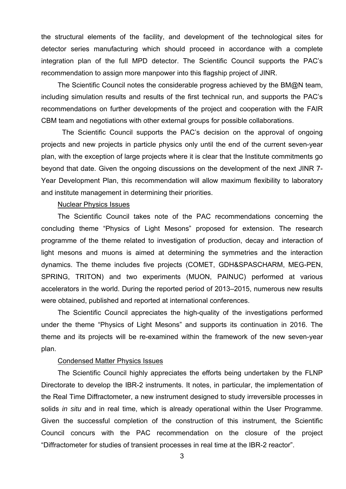the structural elements of the facility, and development of the technological sites for detector series manufacturing which should proceed in accordance with a complete integration plan of the full MPD detector. The Scientific Council supports the PAC's recommendation to assign more manpower into this flagship project of JINR.

The Scientific Council notes the considerable progress achieved by the BM@N team, including simulation results and results of the first technical run, and supports the PAC's recommendations on further developments of the project and cooperation with the FAIR CBM team and negotiations with other external groups for possible collaborations.

The Scientific Council supports the PAC's decision on the approval of ongoing projects and new projects in particle physics only until the end of the current seven-year plan, with the exception of large projects where it is clear that the Institute commitments go beyond that date. Given the ongoing discussions on the development of the next JINR 7- Year Development Plan, this recommendation will allow maximum flexibility to laboratory and institute management in determining their priorities.

### Nuclear Physics Issues

The Scientific Council takes note of the PAC recommendations concerning the concluding theme "Physics of Light Mesons" proposed for extension. The research programme of the theme related to investigation of production, decay and interaction of light mesons and muons is aimed at determining the symmetries and the interaction dynamics. The theme includes five projects (COMET, GDH&SPASCHARM, MEG-PEN, SPRING, TRITON) and two experiments (MUON, PAINUC) performed at various accelerators in the world. During the reported period of 2013–2015, numerous new results were obtained, published and reported at international conferences.

The Scientific Council appreciates the high-quality of the investigations performed under the theme "Physics of Light Mesons" and supports its continuation in 2016. The theme and its projects will be re-examined within the framework of the new seven-year plan.

### Condensed Matter Physics Issues

The Scientific Council highly appreciates the efforts being undertaken by the FLNP Directorate to develop the IBR-2 instruments. It notes, in particular, the implementation of the Real Time Diffractometer, a new instrument designed to study irreversible processes in solids *in situ* and in real time, which is already operational within the User Programme. Given the successful completion of the construction of this instrument, the Scientific Council concurs with the PAC recommendation on the closure of the project "Diffractometer for studies of transient processes in real time at the IBR-2 reactor".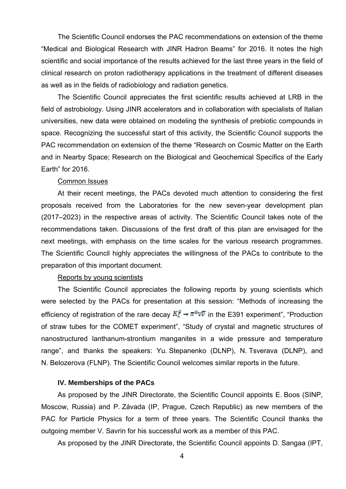The Scientific Council endorses the PAC recommendations on extension of the theme "Medical and Biological Research with JINR Hadron Beams" for 2016. It notes the high scientific and social importance of the results achieved for the last three years in the field of clinical research on proton radiotherapy applications in the treatment of different diseases as well as in the fields of radiobiology and radiation genetics.

The Scientific Council appreciates the first scientific results achieved at LRB in the field of astrobiology. Using JINR accelerators and in collaboration with specialists of Italian universities, new data were obtained on modeling the synthesis of prebiotic compounds in space. Recognizing the successful start of this activity, the Scientific Council supports the PAC recommendation on extension of the theme "Research on Cosmic Matter on the Earth and in Nearby Space; Research on the Biological and Geochemical Specifics of the Early Earth" for 2016.

#### Common Issues

At their recent meetings, the PACs devoted much attention to considering the first proposals received from the Laboratories for the new seven-year development plan (2017–2023) in the respective areas of activity. The Scientific Council takes note of the recommendations taken. Discussions of the first draft of this plan are envisaged for the next meetings, with emphasis on the time scales for the various research programmes. The Scientific Council highly appreciates the willingness of the PACs to contribute to the preparation of this important document.

### Reports by young scientists

The Scientific Council appreciates the following reports by young scientists which were selected by the PACs for presentation at this session: "Methods of increasing the efficiency of registration of the rare decay  $K_L^0 \to \pi^0 \nu \overline{\nu}$  in the E391 experiment", "Production of straw tubes for the COMET experiment", "Study of crystal and magnetic structures of nanostructured lanthanum-strontium manganites in a wide pressure and temperature range", and thanks the speakers: Yu. Stepanenko (DLNP), N. Tsverava (DLNP), and N. Belozerova (FLNP). The Scientific Council welcomes similar reports in the future.

#### **IV. Memberships of the PACs**

As proposed by the JINR Directorate, the Scientific Council appoints E. Boos (SINP, Moscow, Russia) and P. Závada (IP, Prague, Czech Republic) as new members of the PAC for Particle Physics for a term of three years. The Scientific Council thanks the outgoing member V. Savrin for his successful work as a member of this PAC.

As proposed by the JINR Directorate, the Scientific Council appoints D. Sangaa (IPT,